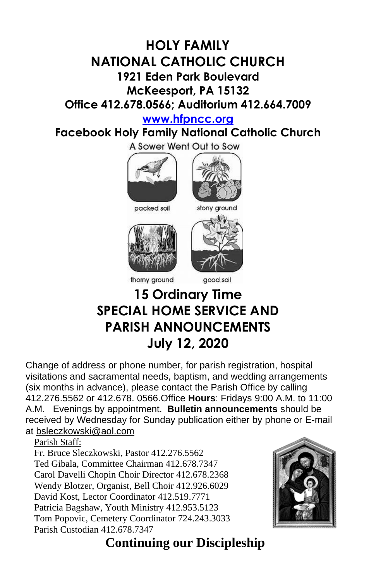## **HOLY FAMILY NATIONAL CATHOLIC CHURCH 1921 Eden Park Boulevard McKeesport, PA 15132 Office 412.678.0566; Auditorium 412.664.7009**

**[www.hfpncc.org](http://www.hfpncc.org/)**

**Facebook Holy Family National Catholic Church**

A Sower Went Out to Sow









good soil

## **15 Ordinary Time SPECIAL HOME SERVICE AND PARISH ANNOUNCEMENTS July 12, 2020**

Change of address or phone number, for parish registration, hospital visitations and sacramental needs, baptism, and wedding arrangements (six months in advance), please contact the Parish Office by calling 412.276.5562 or 412.678. 0566.Office **Hours**: Fridays 9:00 A.M. to 11:00 A.M. Evenings by appointment. **Bulletin announcements** should be received by Wednesday for Sunday publication either by phone or E-mail at [bsleczkowski@aol.com](mailto:bsleczkowski@aol.com)

Parish Staff:

Fr. Bruce Sleczkowski, Pastor 412.276.5562 Ted Gibala, Committee Chairman 412.678.7347 Carol Davelli Chopin Choir Director 412.678.2368 Wendy Blotzer, Organist, Bell Choir 412.926.6029 David Kost, Lector Coordinator 412.519.7771 Patricia Bagshaw, Youth Ministry 412.953.5123 Tom Popovic, Cemetery Coordinator 724.243.3033 Parish Custodian 412.678.7347



 **Continuing our Discipleship**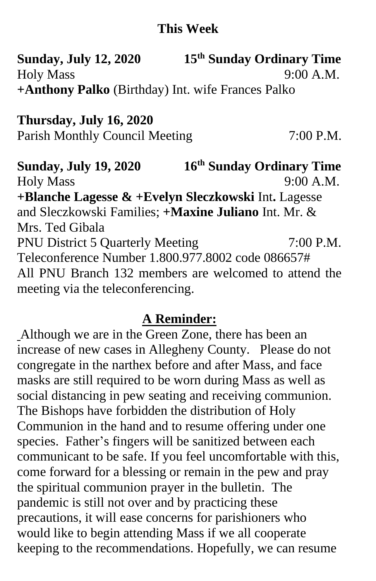## **This Week**

**Sunday, July 12, 2020 th Sunday Ordinary Time** Holy Mass 9:00 A.M. **+Anthony Palko** (Birthday) Int. wife Frances Palko

**Thursday, July 16, 2020** Parish Monthly Council Meeting 7:00 P.M.

**Sunday, July 19, 2020 th Sunday Ordinary Time** Holy Mass 9:00 A.M. **+Blanche Lagesse & +Evelyn Sleczkowski** Int**.** Lagesse and Sleczkowski Families; **+Maxine Juliano** Int. Mr. & Mrs. Ted Gibala PNU District 5 Quarterly Meeting 7:00 P.M. Teleconference Number 1.800.977.8002 code 086657# All PNU Branch 132 members are welcomed to attend the meeting via the teleconferencing.

## **A Reminder:**

Although we are in the Green Zone, there has been an increase of new cases in Allegheny County. Please do not congregate in the narthex before and after Mass, and face masks are still required to be worn during Mass as well as social distancing in pew seating and receiving communion. The Bishops have forbidden the distribution of Holy Communion in the hand and to resume offering under one species. Father's fingers will be sanitized between each communicant to be safe. If you feel uncomfortable with this, come forward for a blessing or remain in the pew and pray the spiritual communion prayer in the bulletin. The pandemic is still not over and by practicing these precautions, it will ease concerns for parishioners who would like to begin attending Mass if we all cooperate keeping to the recommendations. Hopefully, we can resume